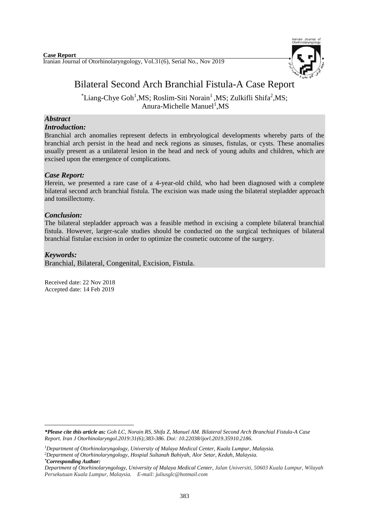

# Bilateral Second Arch Branchial Fistula-A Case Report

 $*$ Liang-Chye Goh<sup>1</sup>,MS; Roslim-Siti Norain<sup>1</sup>,MS; Zulkifli Shifa<sup>2</sup>,MS; Anura-Michelle Manuel<sup>1</sup>, MS

#### *Abstract Introduction:*

Branchial arch anomalies represent defects in embryological developments whereby parts of the branchial arch persist in the head and neck regions as sinuses, fistulas, or cysts. These anomalies usually present as a unilateral lesion in the head and neck of young adults and children, which are excised upon the emergence of complications.

## *Case Report:*

Herein, we presented a rare case of a 4-year-old child, who had been diagnosed with a complete bilateral second arch branchial fistula. The excision was made using the bilateral stepladder approach and tonsillectomy.

## *Conclusion:*

The bilateral stepladder approach was a feasible method in excising a complete bilateral branchial fistula. However, larger-scale studies should be conducted on the surgical techniques of bilateral branchial fistulae excision in order to optimize the cosmetic outcome of the surgery.

## *Keywords:*

-

Branchial, Bilateral, Congenital, Excision, Fistula.

Received date: 22 Nov 2018 Accepted date: 14 Feb 2019

*<sup>\*</sup>Please cite this article as: Goh LC, Norain RS, Shifa Z, Manuel AM. Bilateral Second Arch Branchial Fistula-A Case Report. [Iran J Otorhinolaryngol.2](https://www.ncbi.nlm.nih.gov/pubmed/?term=Tri-layer+Tympanoplasty+as+a+New+Technique+in+High-risk+Tympanic+Membrane+Perforations)019:31(6);383-386. Doi: 10.22038/ijorl.2019.35910.2186.*

*<sup>1</sup>Department of Otorhinolaryngology, University of Malaya Medical Center, Kuala Lumpur, Malaysia. <sup>2</sup>Department of Otorhinolaryngology, Hospial Sultanah Bahiyah, Alor Setar, Kedah, Malaysia. \*Corresponding Author:*

*Department of Otorhinolaryngology, University of Malaya Medical Center, Jalan Universiti, 50603 Kuala Lumpur, Wilayah Persekutuan Kuala Lumpur, Malaysia. E-mail: juliusglc@hotmail.com*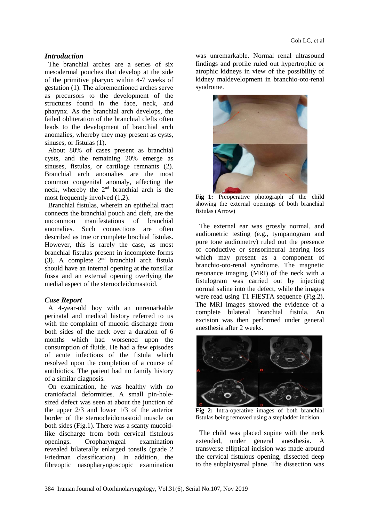### *Introduction*

The branchial arches are a series of six mesodermal pouches that develop at the side of the primitive pharynx within 4-7 weeks of gestation (1). The aforementioned arches serve as precursors to the development of the structures found in the face, neck, and pharynx. As the branchial arch develops, the failed obliteration of the branchial clefts often leads to the development of branchial arch anomalies, whereby they may present as cysts, sinuses, or fistulas (1).

About 80% of cases present as branchial cysts, and the remaining 20% emerge as sinuses, fistulas, or cartilage remnants (2). Branchial arch anomalies are the most common congenital anomaly, affecting the neck, whereby the  $2<sup>nd</sup>$  branchial arch is the most frequently involved (1,2).

Branchial fistulas, wherein an epithelial tract connects the branchial pouch and cleft, are the uncommon manifestations of branchial anomalies. Such connections are often described as true or complete brachial fistulas. However, this is rarely the case, as most branchial fistulas present in incomplete forms (3). A complete  $2<sup>nd</sup>$  branchial arch fistula should have an internal opening at the tonsillar fossa and an external opening overlying the medial aspect of the sternocleidomastoid.

### *Case Report*

A 4-year-old boy with an unremarkable perinatal and medical history referred to us with the complaint of mucoid discharge from both sides of the neck over a duration of 6 months which had worsened upon the consumption of fluids. He had a few episodes of acute infections of the fistula which resolved upon the completion of a course of antibiotics. The patient had no family history of a similar diagnosis.

On examination, he was healthy with no craniofacial deformities. A small pin-holesized defect was seen at about the junction of the upper 2/3 and lower 1/3 of the anterior border of the sternocleidomastoid muscle on both sides (Fig.1). There was a scanty mucoidlike discharge from both cervical fistulous openings. Oropharyngeal examination revealed bilaterally enlarged tonsils (grade 2 Friedman classification). In addition, the fibreoptic nasopharyngoscopic examination

was unremarkable. Normal renal ultrasound findings and profile ruled out hypertrophic or atrophic kidneys in view of the possibility of kidney maldevelopment in branchio-oto-renal syndrome.



**Fig 1:** Preoperative photograph of the child showing the external openings of both branchial fistulas (Arrow)

The external ear was grossly normal, and audiometric testing (e.g., tympanogram and pure tone audiometry) ruled out the presence of conductive or sensorineural hearing loss which may present as a component of branchio-oto-renal syndrome. The magnetic resonance imaging (MRI) of the neck with a fistulogram was carried out by injecting normal saline into the defect, while the images were read using T1 FIESTA sequence (Fig.2). The MRI images showed the evidence of a complete bilateral branchial fistula. An excision was then performed under general anesthesia after 2 weeks.



**Fig 2:** Intra-operative images of both branchial fistulas being removed using a stepladder incision

The child was placed supine with the neck extended, under general anesthesia. A transverse elliptical incision was made around the cervical fistulous opening, dissected deep to the subplatysmal plane. The dissection was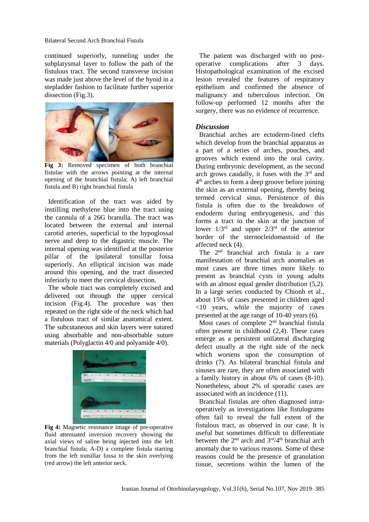#### Bilateral Second Arch Branchial Fistula

continued superiorly, tunneling under the subplatysmal layer to follow the path of the fistulous tract. The second transverse incision was made just above the level of the hyoid in a stepladder fashion to facilitate further superior dissection (Fig.3).



**Fig 3:** Removed specimen of both branchial fistulae with the arrows pointing at the internal opening of the branchial fistula; A) left branchial fistula and B) right branchial fistula

Identification of the tract was aided by instilling methylene blue into the tract using the cannula of a 26G branulla. The tract was located between the external and internal carotid arteries, superficial to the hypoglossal nerve and deep to the digastric muscle. The internal opening was identified at the posterior pillar of the ipsilateral tonsillar fossa superiorly. An elliptical incision was made around this opening, and the tract dissected inferiorly to meet the cervical dissection.

The whole tract was completely excised and delivered out through the upper cervical incision (Fig.4). The procedure was then repeated on the right side of the neck which had a fistulous tract of similar anatomical extent. The subcutaneous and skin layers were sutured using absorbable and non-absorbable suture materials (Polyglactin 4/0 and polyamide 4/0).



**Fig 4:** Magnetic resonance image of pre-operative fluid attenuated inversion recovery showing the axial views of saline being injected into the left branchial fistula; A-D) a complete fistula starting from the left tonsillar fossa to the skin overlying (red arrow) the left anterior neck.

The patient was discharged with no postoperative complications after 3 days. Histopathological examination of the excised lesion revealed the features of respiratory epithelium and confirmed the absence of malignancy and tuberculous infection. On follow-up performed 12 months after the surgery, there was no evidence of recurrence.

#### *Discussion*

Branchial arches are ectoderm-lined clefts which develop from the branchial apparatus as a part of a series of arches, pouches, and grooves which extend into the oral cavity. During embryonic development, as the second arch grows caudally, it fuses with the 3rd and 4<sup>th</sup> arches to form a deep groove before joining the skin as an external opening, thereby being termed cervical sinus. Persistence of this fistula is often due to the breakdown of endoderm during embryogenesis, and this forms a tract to the skin at the junction of lower  $1/3^{rd}$  and upper  $2/3^{rd}$  of the anterior border of the sternocleidomastoid of the affected neck (4).

The 2nd branchial arch fistula is a rare manifestation of branchial arch anomalies as most cases are three times more likely to present as branchial cysts in young adults with an almost equal gender distribution  $(5,2)$ . In a large series conducted by Chionh et al., about 15% of cases presented in children aged <10 years, while the majority of cases presented at the age range of 10-40 years (6).

Most cases of complete 2<sup>nd</sup> branchial fistula often present in childhood (2,4). These cases emerge as a persistent unilateral discharging defect usually at the right side of the neck which worsens upon the consumption of drinks (7). As bilateral branchial fistula and sinuses are rare, they are often associated with a family history in about 6% of cases (8-10). Nonetheless, about 2% of sporadic cases are associated with an incidence (11).

Branchial fistulas are often diagnosed intraoperatively as investigations like fistulograms often fail to reveal the full extent of the fistulous tract, as observed in our case. It is useful but sometimes difficult to differentiate between the  $2<sup>nd</sup>$  arch and  $3<sup>rd</sup>/4<sup>th</sup>$  branchial arch anomaly due to various reasons. Some of these reasons could be the presence of granulation tissue, secretions within the lumen of the